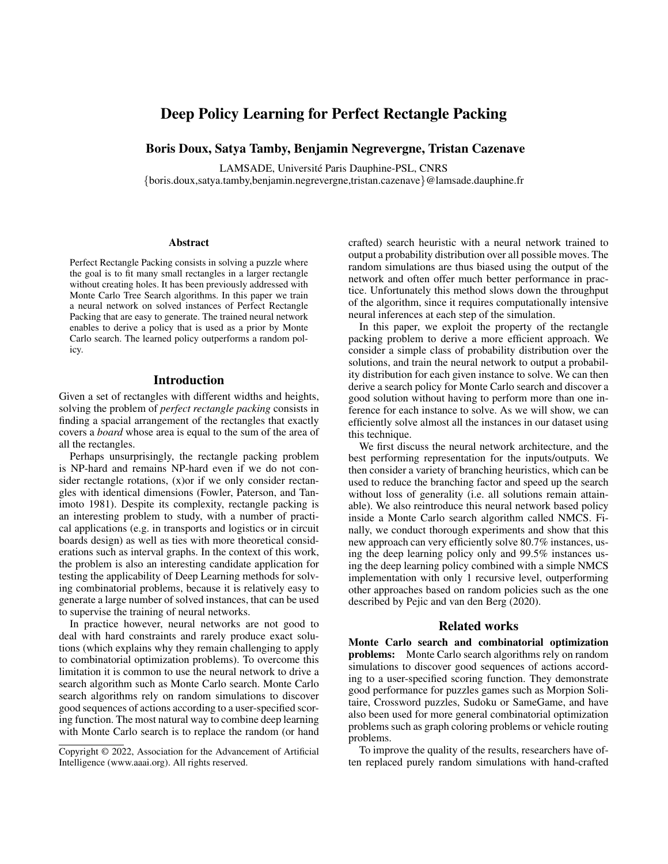# Deep Policy Learning for Perfect Rectangle Packing

Boris Doux, Satya Tamby, Benjamin Negrevergne, Tristan Cazenave

LAMSADE, Université Paris Dauphine-PSL, CNRS {boris.doux,satya.tamby,benjamin.negrevergne,tristan.cazenave}@lamsade.dauphine.fr

#### **Abstract**

Perfect Rectangle Packing consists in solving a puzzle where the goal is to fit many small rectangles in a larger rectangle without creating holes. It has been previously addressed with Monte Carlo Tree Search algorithms. In this paper we train a neural network on solved instances of Perfect Rectangle Packing that are easy to generate. The trained neural network enables to derive a policy that is used as a prior by Monte Carlo search. The learned policy outperforms a random policy.

# Introduction

Given a set of rectangles with different widths and heights, solving the problem of *perfect rectangle packing* consists in finding a spacial arrangement of the rectangles that exactly covers a *board* whose area is equal to the sum of the area of all the rectangles.

Perhaps unsurprisingly, the rectangle packing problem is NP-hard and remains NP-hard even if we do not consider rectangle rotations, (x)or if we only consider rectangles with identical dimensions (Fowler, Paterson, and Tanimoto 1981). Despite its complexity, rectangle packing is an interesting problem to study, with a number of practical applications (e.g. in transports and logistics or in circuit boards design) as well as ties with more theoretical considerations such as interval graphs. In the context of this work, the problem is also an interesting candidate application for testing the applicability of Deep Learning methods for solving combinatorial problems, because it is relatively easy to generate a large number of solved instances, that can be used to supervise the training of neural networks.

In practice however, neural networks are not good to deal with hard constraints and rarely produce exact solutions (which explains why they remain challenging to apply to combinatorial optimization problems). To overcome this limitation it is common to use the neural network to drive a search algorithm such as Monte Carlo search. Monte Carlo search algorithms rely on random simulations to discover good sequences of actions according to a user-specified scoring function. The most natural way to combine deep learning with Monte Carlo search is to replace the random (or hand

crafted) search heuristic with a neural network trained to output a probability distribution over all possible moves. The random simulations are thus biased using the output of the network and often offer much better performance in practice. Unfortunately this method slows down the throughput of the algorithm, since it requires computationally intensive neural inferences at each step of the simulation.

In this paper, we exploit the property of the rectangle packing problem to derive a more efficient approach. We consider a simple class of probability distribution over the solutions, and train the neural network to output a probability distribution for each given instance to solve. We can then derive a search policy for Monte Carlo search and discover a good solution without having to perform more than one inference for each instance to solve. As we will show, we can efficiently solve almost all the instances in our dataset using this technique.

We first discuss the neural network architecture, and the best performing representation for the inputs/outputs. We then consider a variety of branching heuristics, which can be used to reduce the branching factor and speed up the search without loss of generality (*i.e. all solutions remain attain*able). We also reintroduce this neural network based policy inside a Monte Carlo search algorithm called NMCS. Finally, we conduct thorough experiments and show that this new approach can very efficiently solve 80.7% instances, using the deep learning policy only and 99.5% instances using the deep learning policy combined with a simple NMCS implementation with only 1 recursive level, outperforming other approaches based on random policies such as the one described by Pejic and van den Berg (2020).

# Related works

Monte Carlo search and combinatorial optimization problems: Monte Carlo search algorithms rely on random simulations to discover good sequences of actions according to a user-specified scoring function. They demonstrate good performance for puzzles games such as Morpion Solitaire, Crossword puzzles, Sudoku or SameGame, and have also been used for more general combinatorial optimization problems such as graph coloring problems or vehicle routing problems.

To improve the quality of the results, researchers have often replaced purely random simulations with hand-crafted

Copyright © 2022, Association for the Advancement of Artificial Intelligence (www.aaai.org). All rights reserved.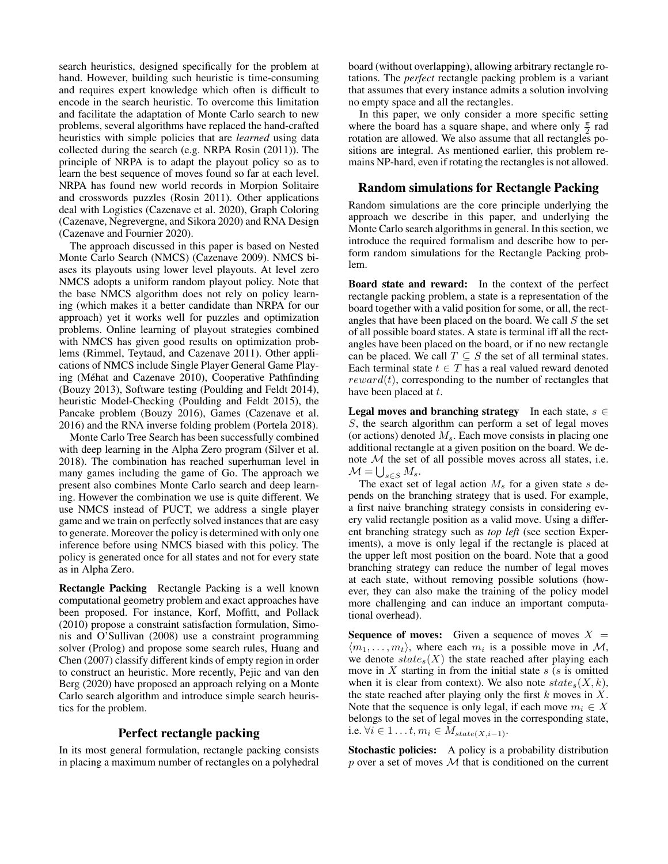search heuristics, designed specifically for the problem at hand. However, building such heuristic is time-consuming and requires expert knowledge which often is difficult to encode in the search heuristic. To overcome this limitation and facilitate the adaptation of Monte Carlo search to new problems, several algorithms have replaced the hand-crafted heuristics with simple policies that are *learned* using data collected during the search (e.g. NRPA Rosin (2011)). The principle of NRPA is to adapt the playout policy so as to learn the best sequence of moves found so far at each level. NRPA has found new world records in Morpion Solitaire and crosswords puzzles (Rosin 2011). Other applications deal with Logistics (Cazenave et al. 2020), Graph Coloring (Cazenave, Negrevergne, and Sikora 2020) and RNA Design (Cazenave and Fournier 2020).

The approach discussed in this paper is based on Nested Monte Carlo Search (NMCS) (Cazenave 2009). NMCS biases its playouts using lower level playouts. At level zero NMCS adopts a uniform random playout policy. Note that the base NMCS algorithm does not rely on policy learning (which makes it a better candidate than NRPA for our approach) yet it works well for puzzles and optimization problems. Online learning of playout strategies combined with NMCS has given good results on optimization problems (Rimmel, Teytaud, and Cazenave 2011). Other applications of NMCS include Single Player General Game Playing (Mehat and Cazenave 2010), Cooperative Pathfinding ´ (Bouzy 2013), Software testing (Poulding and Feldt 2014), heuristic Model-Checking (Poulding and Feldt 2015), the Pancake problem (Bouzy 2016), Games (Cazenave et al. 2016) and the RNA inverse folding problem (Portela 2018).

Monte Carlo Tree Search has been successfully combined with deep learning in the Alpha Zero program (Silver et al. 2018). The combination has reached superhuman level in many games including the game of Go. The approach we present also combines Monte Carlo search and deep learning. However the combination we use is quite different. We use NMCS instead of PUCT, we address a single player game and we train on perfectly solved instances that are easy to generate. Moreover the policy is determined with only one inference before using NMCS biased with this policy. The policy is generated once for all states and not for every state as in Alpha Zero.

Rectangle Packing Rectangle Packing is a well known computational geometry problem and exact approaches have been proposed. For instance, Korf, Moffitt, and Pollack (2010) propose a constraint satisfaction formulation, Simonis and O'Sullivan (2008) use a constraint programming solver (Prolog) and propose some search rules, Huang and Chen (2007) classify different kinds of empty region in order to construct an heuristic. More recently, Pejic and van den Berg (2020) have proposed an approach relying on a Monte Carlo search algorithm and introduce simple search heuristics for the problem.

# Perfect rectangle packing

In its most general formulation, rectangle packing consists in placing a maximum number of rectangles on a polyhedral board (without overlapping), allowing arbitrary rectangle rotations. The *perfect* rectangle packing problem is a variant that assumes that every instance admits a solution involving no empty space and all the rectangles.

In this paper, we only consider a more specific setting where the board has a square shape, and where only  $\frac{\pi}{2}$  rad rotation are allowed. We also assume that all rectangles positions are integral. As mentioned earlier, this problem remains NP-hard, even if rotating the rectangles is not allowed.

### Random simulations for Rectangle Packing

Random simulations are the core principle underlying the approach we describe in this paper, and underlying the Monte Carlo search algorithms in general. In this section, we introduce the required formalism and describe how to perform random simulations for the Rectangle Packing problem.

Board state and reward: In the context of the perfect rectangle packing problem, a state is a representation of the board together with a valid position for some, or all, the rectangles that have been placed on the board. We call  $S$  the set of all possible board states. A state is terminal iff all the rectangles have been placed on the board, or if no new rectangle can be placed. We call  $T \subseteq S$  the set of all terminal states. Each terminal state  $t \in T$  has a real valued reward denoted  $reward(t)$ , corresponding to the number of rectangles that have been placed at t.

Legal moves and branching strategy In each state,  $s \in$ S, the search algorithm can perform a set of legal moves (or actions) denoted  $M_s$ . Each move consists in placing one additional rectangle at a given position on the board. We denote  $M$  the set of all possible moves across all states, i.e.  $\mathcal{M} = \bigcup_{s \in S} M_s.$ 

The exact set of legal action  $M_s$  for a given state s depends on the branching strategy that is used. For example, a first naive branching strategy consists in considering every valid rectangle position as a valid move. Using a different branching strategy such as *top left* (see section Experiments), a move is only legal if the rectangle is placed at the upper left most position on the board. Note that a good branching strategy can reduce the number of legal moves at each state, without removing possible solutions (however, they can also make the training of the policy model more challenging and can induce an important computational overhead).

**Sequence of moves:** Given a sequence of moves  $X =$  $\langle m_1, \ldots, m_t \rangle$ , where each  $m_i$  is a possible move in M, we denote  $state_s(X)$  the state reached after playing each move in  $X$  starting in from the initial state  $s$  ( $s$  is omitted when it is clear from context). We also note  $state_s(X, k)$ , the state reached after playing only the first  $k$  moves in  $X$ . Note that the sequence is only legal, if each move  $m_i \in X$ belongs to the set of legal moves in the corresponding state, i.e.  $\forall i \in 1 \ldots t, m_i \in M_{state(X, i-1)}$ .

Stochastic policies: A policy is a probability distribution  $p$  over a set of moves  $M$  that is conditioned on the current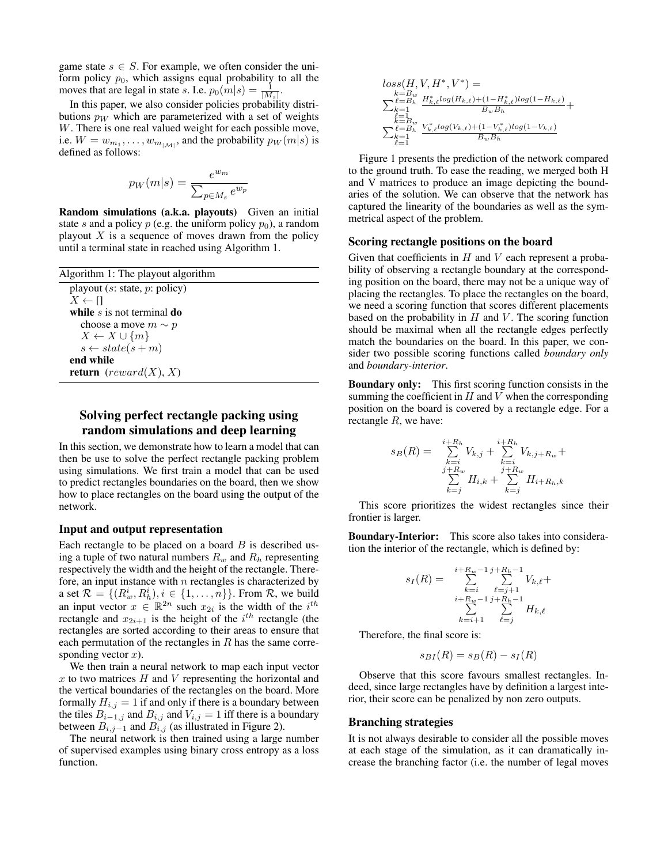game state  $s \in S$ . For example, we often consider the uniform policy  $p_0$ , which assigns equal probability to all the moves that are legal in state s. I.e.  $p_0(m|s) = \frac{1}{|M_s|}$ .

In this paper, we also consider policies probability distributions  $p_W$  which are parameterized with a set of weights W. There is one real valued weight for each possible move, i.e.  $W = w_{m_1}, \dots, w_{m_{|\mathcal{M}|}}$ , and the probability  $p_W(m|s)$  is defined as follows:

$$
p_W(m|s) = \frac{e^{w_m}}{\sum_{p \in M_s} e^{w_p}}
$$

Random simulations (a.k.a. playouts) Given an initial state s and a policy p (e.g. the uniform policy  $p_0$ ), a random playout  $X$  is a sequence of moves drawn from the policy until a terminal state in reached using Algorithm 1.

| Algorithm 1: The playout algorithm                     |
|--------------------------------------------------------|
| playout (s: state, $p$ : policy)                       |
| $X \leftarrow \Pi$                                     |
| while $s$ is not terminal do                           |
| choose a move $m \sim p$                               |
| $X \leftarrow X \cup \{m\}$                            |
| $s \leftarrow state(s+m)$                              |
| end while                                              |
| <b>return</b> ( <i>reward</i> ( <i>X</i> ), <i>X</i> ) |
|                                                        |

# Solving perfect rectangle packing using random simulations and deep learning

In this section, we demonstrate how to learn a model that can then be use to solve the perfect rectangle packing problem using simulations. We first train a model that can be used to predict rectangles boundaries on the board, then we show how to place rectangles on the board using the output of the network.

### Input and output representation

Each rectangle to be placed on a board  $B$  is described using a tuple of two natural numbers  $R_w$  and  $R_h$  representing respectively the width and the height of the rectangle. Therefore, an input instance with  $n$  rectangles is characterized by a set  $\mathcal{R} = \{(R_w^i, R_h^i), i \in \{1, \dots, n\}\}\.$  From  $\mathcal{R}$ , we build an input vector  $x \in \mathbb{R}^{2n}$  such  $x_{2i}$  is the width of the  $i^{th}$ rectangle and  $x_{2i+1}$  is the height of the  $i^{th}$  rectangle (the rectangles are sorted according to their areas to ensure that each permutation of the rectangles in  $R$  has the same corresponding vector  $x$ ).

We then train a neural network to map each input vector  $x$  to two matrices  $H$  and  $V$  representing the horizontal and the vertical boundaries of the rectangles on the board. More formally  $H_{i,j} = 1$  if and only if there is a boundary between the tiles  $B_{i-1,j}$  and  $B_{i,j}$  and  $V_{i,j} = 1$  iff there is a boundary between  $B_{i,j-1}$  and  $B_{i,j}$  (as illustrated in Figure 2).

The neural network is then trained using a large number of supervised examples using binary cross entropy as a loss function.

$$
\begin{array}{l} loss(H,V,H^*,V^*) = \\ \sum_{k=B_w}^{k=B_w} \frac{H^*_{k,\ell}log(H_{k,\ell})+(1-H^*_{k,\ell})log(1-H_{k,\ell})}{B_wB_h} + \\ \sum_{k=1}^{L=1} \frac{E_w}{B_w} \frac{V^*_{k,\ell}log(V_{k,\ell})+(1-V^*_{k,\ell})log(1-V_{k,\ell})}{B_wB_h} \end{array}
$$

Figure 1 presents the prediction of the network compared to the ground truth. To ease the reading, we merged both H and V matrices to produce an image depicting the boundaries of the solution. We can observe that the network has captured the linearity of the boundaries as well as the symmetrical aspect of the problem.

#### Scoring rectangle positions on the board

Given that coefficients in  $H$  and  $V$  each represent a probability of observing a rectangle boundary at the corresponding position on the board, there may not be a unique way of placing the rectangles. To place the rectangles on the board, we need a scoring function that scores different placements based on the probability in  $H$  and  $V$ . The scoring function should be maximal when all the rectangle edges perfectly match the boundaries on the board. In this paper, we consider two possible scoring functions called *boundary only* and *boundary-interior*.

Boundary only: This first scoring function consists in the summing the coefficient in  $H$  and  $V$  when the corresponding position on the board is covered by a rectangle edge. For a rectangle R, we have:

$$
s_B(R) = \sum_{\substack{k=i \ k \neq j}}^{i+R_h} V_{k,j} + \sum_{\substack{k=i \ k \neq i}}^{i+R_h} V_{k,j+R_w} + \sum_{\substack{j+k_w \ k \neq j}}^{i+R_w} H_{i,k} + \sum_{\substack{k=j \ k \neq j}}^{i+R_w} H_{i+R_h,k}
$$

This score prioritizes the widest rectangles since their frontier is larger.

Boundary-Interior: This score also takes into consideration the interior of the rectangle, which is defined by:

$$
s_I(R) = \sum_{\substack{k=i \\ i+R_w-1 \\ k \ge i+1}}^{i+R_w-1} \sum_{\substack{\ell=j+1 \\ \ell \ge j}}^{j+R_h-1} V_{k,\ell} + \sum_{\substack{k=i+1 \\ \ell \ge j}}^{j+R_h-1} H_{k,\ell}
$$

Therefore, the final score is:

$$
s_{BI}(R) = s_B(R) - s_I(R)
$$

Observe that this score favours smallest rectangles. Indeed, since large rectangles have by definition a largest interior, their score can be penalized by non zero outputs.

#### Branching strategies

It is not always desirable to consider all the possible moves at each stage of the simulation, as it can dramatically increase the branching factor (i.e. the number of legal moves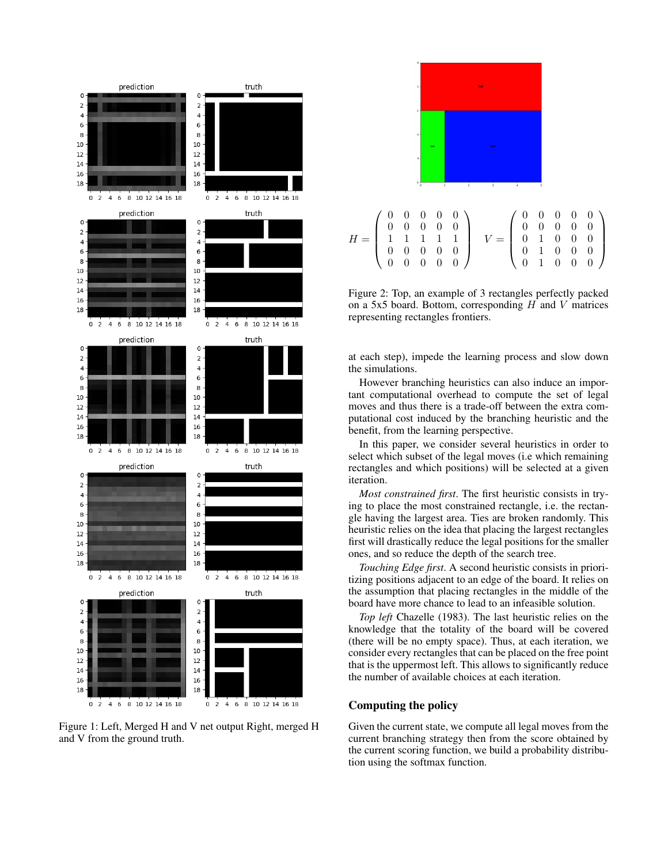

Figure 1: Left, Merged H and V net output Right, merged H and V from the ground truth.



Figure 2: Top, an example of 3 rectangles perfectly packed on a 5x5 board. Bottom, corresponding  $H$  and  $V$  matrices representing rectangles frontiers.

at each step), impede the learning process and slow down the simulations.

However branching heuristics can also induce an important computational overhead to compute the set of legal moves and thus there is a trade-off between the extra computational cost induced by the branching heuristic and the benefit, from the learning perspective.

In this paper, we consider several heuristics in order to select which subset of the legal moves (i.e which remaining rectangles and which positions) will be selected at a given iteration.

*Most constrained first*. The first heuristic consists in trying to place the most constrained rectangle, i.e. the rectangle having the largest area. Ties are broken randomly. This heuristic relies on the idea that placing the largest rectangles first will drastically reduce the legal positions for the smaller ones, and so reduce the depth of the search tree.

*Touching Edge first*. A second heuristic consists in prioritizing positions adjacent to an edge of the board. It relies on the assumption that placing rectangles in the middle of the board have more chance to lead to an infeasible solution.

*Top left* Chazelle (1983). The last heuristic relies on the knowledge that the totality of the board will be covered (there will be no empty space). Thus, at each iteration, we consider every rectangles that can be placed on the free point that is the uppermost left. This allows to significantly reduce the number of available choices at each iteration.

### Computing the policy

Given the current state, we compute all legal moves from the current branching strategy then from the score obtained by the current scoring function, we build a probability distribution using the softmax function.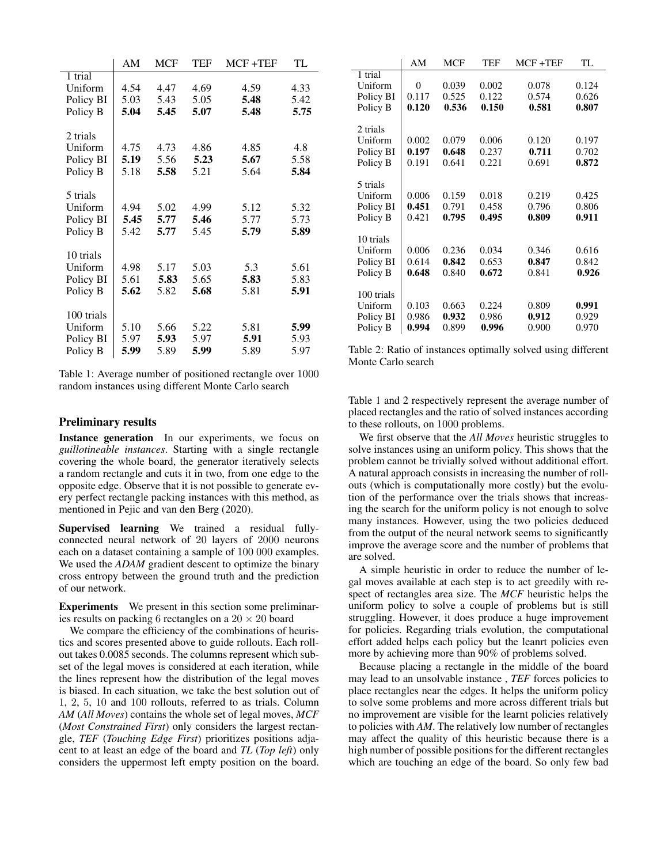|            | AM   | <b>MCF</b> | TEF  | $MCF + TEF$ | TL   |
|------------|------|------------|------|-------------|------|
| 1 trial    |      |            |      |             |      |
| Uniform    | 4.54 | 4.47       | 4.69 | 4.59        | 4.33 |
| Policy BI  | 5.03 | 5.43       | 5.05 | 5.48        | 5.42 |
| Policy B   | 5.04 | 5.45       | 5.07 | 5.48        | 5.75 |
|            |      |            |      |             |      |
| 2 trials   |      |            |      |             |      |
| Uniform    | 4.75 | 4.73       | 4.86 | 4.85        | 4.8  |
| Policy BI  | 5.19 | 5.56       | 5.23 | 5.67        | 5.58 |
| Policy B   | 5.18 | 5.58       | 5.21 | 5.64        | 5.84 |
|            |      |            |      |             |      |
| 5 trials   |      |            |      |             |      |
| Uniform    | 4.94 | 5.02       | 4.99 | 5.12        | 5.32 |
| Policy BI  | 5.45 | 5.77       | 5.46 | 5.77        | 5.73 |
| Policy B   | 5.42 | 5.77       | 5.45 | 5.79        | 5.89 |
|            |      |            |      |             |      |
| 10 trials  |      |            |      |             |      |
| Uniform    | 4.98 | 5.17       | 5.03 | 5.3         | 5.61 |
| Policy BI  | 5.61 | 5.83       | 5.65 | 5.83        | 5.83 |
| Policy B   | 5.62 | 5.82       | 5.68 | 5.81        | 5.91 |
|            |      |            |      |             |      |
| 100 trials |      |            |      |             |      |
| Uniform    | 5.10 | 5.66       | 5.22 | 5.81        | 5.99 |
| Policy BI  | 5.97 | 5.93       | 5.97 | 5.91        | 5.93 |
| Policy B   | 5.99 | 5.89       | 5.99 | 5.89        | 5.97 |
|            |      |            |      |             |      |

Table 1: Average number of positioned rectangle over 1000 random instances using different Monte Carlo search

# Preliminary results

Instance generation In our experiments, we focus on *guillotineable instances*. Starting with a single rectangle covering the whole board, the generator iteratively selects a random rectangle and cuts it in two, from one edge to the opposite edge. Observe that it is not possible to generate every perfect rectangle packing instances with this method, as mentioned in Pejic and van den Berg (2020).

Supervised learning We trained a residual fullyconnected neural network of 20 layers of 2000 neurons each on a dataset containing a sample of 100 000 examples. We used the *ADAM* gradient descent to optimize the binary cross entropy between the ground truth and the prediction of our network.

Experiments We present in this section some preliminaries results on packing 6 rectangles on a  $20 \times 20$  board

We compare the efficiency of the combinations of heuristics and scores presented above to guide rollouts. Each rollout takes 0.0085 seconds. The columns represent which subset of the legal moves is considered at each iteration, while the lines represent how the distribution of the legal moves is biased. In each situation, we take the best solution out of 1, 2, 5, 10 and 100 rollouts, referred to as trials. Column *AM* (*All Moves*) contains the whole set of legal moves, *MCF* (*Most Constrained First*) only considers the largest rectangle, *TEF* (*Touching Edge First*) prioritizes positions adjacent to at least an edge of the board and *TL* (*Top left*) only considers the uppermost left empty position on the board.

|            | AM    | <b>MCF</b> | TEF   | MCF+TEF | TL    |
|------------|-------|------------|-------|---------|-------|
| 1 trial    |       |            |       |         |       |
| Uniform    | 0     | 0.039      | 0.002 | 0.078   | 0.124 |
| Policy BI  | 0.117 | 0.525      | 0.122 | 0.574   | 0.626 |
| Policy B   | 0.120 | 0.536      | 0.150 | 0.581   | 0.807 |
|            |       |            |       |         |       |
| 2 trials   |       |            |       |         |       |
| Uniform    | 0.002 | 0.079      | 0.006 | 0.120   | 0.197 |
| Policy BI  | 0.197 | 0.648      | 0.237 | 0.711   | 0.702 |
| Policy B   | 0.191 | 0.641      | 0.221 | 0.691   | 0.872 |
|            |       |            |       |         |       |
| 5 trials   |       |            |       |         |       |
| Uniform    | 0.006 | 0.159      | 0.018 | 0.219   | 0.425 |
| Policy BI  | 0.451 | 0.791      | 0.458 | 0.796   | 0.806 |
| Policy B   | 0.421 | 0.795      | 0.495 | 0.809   | 0.911 |
|            |       |            |       |         |       |
| 10 trials  |       |            |       |         |       |
| Uniform    | 0.006 | 0.236      | 0.034 | 0.346   | 0.616 |
| Policy BI  | 0.614 | 0.842      | 0.653 | 0.847   | 0.842 |
| Policy B   | 0.648 | 0.840      | 0.672 | 0.841   | 0.926 |
|            |       |            |       |         |       |
| 100 trials |       |            |       |         |       |
| Uniform    | 0.103 | 0.663      | 0.224 | 0.809   | 0.991 |
| Policy BI  | 0.986 | 0.932      | 0.986 | 0.912   | 0.929 |
| Policy B   | 0.994 | 0.899      | 0.996 | 0.900   | 0.970 |

Table 2: Ratio of instances optimally solved using different Monte Carlo search

Table 1 and 2 respectively represent the average number of placed rectangles and the ratio of solved instances according to these rollouts, on 1000 problems.

We first observe that the *All Moves* heuristic struggles to solve instances using an uniform policy. This shows that the problem cannot be trivially solved without additional effort. A natural approach consists in increasing the number of rollouts (which is computationally more costly) but the evolution of the performance over the trials shows that increasing the search for the uniform policy is not enough to solve many instances. However, using the two policies deduced from the output of the neural network seems to significantly improve the average score and the number of problems that are solved.

A simple heuristic in order to reduce the number of legal moves available at each step is to act greedily with respect of rectangles area size. The *MCF* heuristic helps the uniform policy to solve a couple of problems but is still struggling. However, it does produce a huge improvement for policies. Regarding trials evolution, the computational effort added helps each policy but the leanrt policies even more by achieving more than 90% of problems solved.

Because placing a rectangle in the middle of the board may lead to an unsolvable instance , *TEF* forces policies to place rectangles near the edges. It helps the uniform policy to solve some problems and more across different trials but no improvement are visible for the learnt policies relatively to policies with *AM*. The relatively low number of rectangles may affect the quality of this heuristic because there is a high number of possible positions for the different rectangles which are touching an edge of the board. So only few bad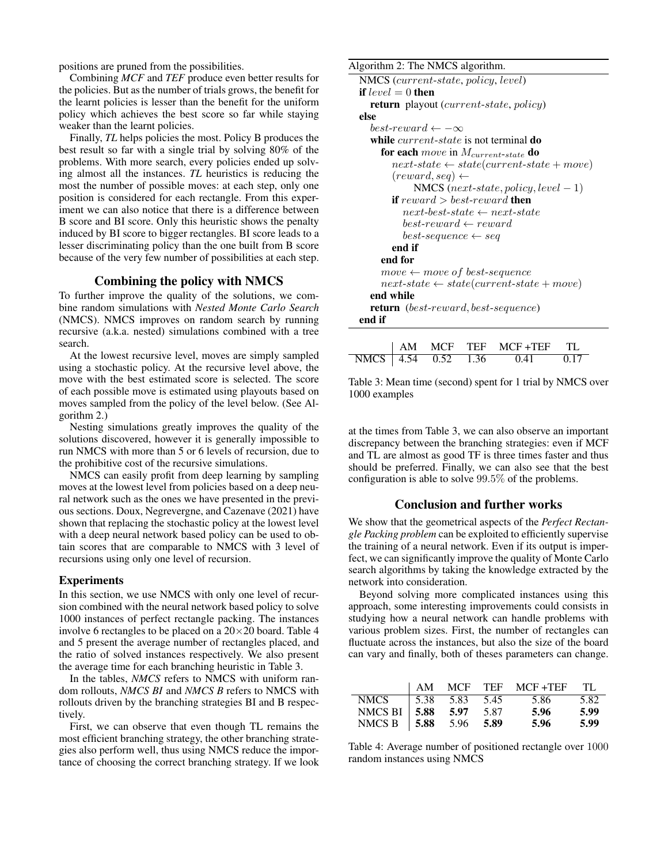positions are pruned from the possibilities.

Combining *MCF* and *TEF* produce even better results for the policies. But as the number of trials grows, the benefit for the learnt policies is lesser than the benefit for the uniform policy which achieves the best score so far while staying weaker than the learnt policies.

Finally, *TL* helps policies the most. Policy B produces the best result so far with a single trial by solving 80% of the problems. With more search, every policies ended up solving almost all the instances. *TL* heuristics is reducing the most the number of possible moves: at each step, only one position is considered for each rectangle. From this experiment we can also notice that there is a difference between B score and BI score. Only this heuristic shows the penalty induced by BI score to bigger rectangles. BI score leads to a lesser discriminating policy than the one built from B score because of the very few number of possibilities at each step.

# Combining the policy with NMCS

To further improve the quality of the solutions, we combine random simulations with *Nested Monte Carlo Search* (NMCS). NMCS improves on random search by running recursive (a.k.a. nested) simulations combined with a tree search.

At the lowest recursive level, moves are simply sampled using a stochastic policy. At the recursive level above, the move with the best estimated score is selected. The score of each possible move is estimated using playouts based on moves sampled from the policy of the level below. (See Algorithm 2.)

Nesting simulations greatly improves the quality of the solutions discovered, however it is generally impossible to run NMCS with more than 5 or 6 levels of recursion, due to the prohibitive cost of the recursive simulations.

NMCS can easily profit from deep learning by sampling moves at the lowest level from policies based on a deep neural network such as the ones we have presented in the previous sections. Doux, Negrevergne, and Cazenave (2021) have shown that replacing the stochastic policy at the lowest level with a deep neural network based policy can be used to obtain scores that are comparable to NMCS with 3 level of recursions using only one level of recursion.

### Experiments

In this section, we use NMCS with only one level of recursion combined with the neural network based policy to solve 1000 instances of perfect rectangle packing. The instances involve 6 rectangles to be placed on a  $20 \times 20$  board. Table 4 and 5 present the average number of rectangles placed, and the ratio of solved instances respectively. We also present the average time for each branching heuristic in Table 3.

In the tables, *NMCS* refers to NMCS with uniform random rollouts, *NMCS BI* and *NMCS B* refers to NMCS with rollouts driven by the branching strategies BI and B respectively.

First, we can observe that even though TL remains the most efficient branching strategy, the other branching strategies also perform well, thus using NMCS reduce the importance of choosing the correct branching strategy. If we look

#### Algorithm 2: The NMCS algorithm.

```
NMCS (current-state, policy, level)
if level = 0 then
  return playout (current-state, policy)
else
  best-reward \leftarrow -\inftywhile current-state is not terminal do
     for each move in M_{current-state} do
        next-state \leftarrow state(current-state + move)(reward, seq) \leftarrowNMCS (next-state, policy, level - 1)
        if reward > best-reward then
          next-best-state \leftarrow next-statebest-reward \leftarrow rewardbest\text{-}sequence \leftarrow seqend if
     end for
     move \leftarrow move \space of \space best\text{-}sequencenext-state \leftarrow state(current-state + move)end while
  return (best-reward, best-sequence)
end if
```

|  |  | AM MCF TEF MCF +TEF TL        |  |
|--|--|-------------------------------|--|
|  |  | NMCS 4.54 0.52 1.36 0.41 0.17 |  |

Table 3: Mean time (second) spent for 1 trial by NMCS over 1000 examples

at the times from Table 3, we can also observe an important discrepancy between the branching strategies: even if MCF and TL are almost as good TF is three times faster and thus should be preferred. Finally, we can also see that the best configuration is able to solve 99.5% of the problems.

### Conclusion and further works

We show that the geometrical aspects of the *Perfect Rectangle Packing problem* can be exploited to efficiently supervise the training of a neural network. Even if its output is imperfect, we can significantly improve the quality of Monte Carlo search algorithms by taking the knowledge extracted by the network into consideration.

Beyond solving more complicated instances using this approach, some interesting improvements could consists in studying how a neural network can handle problems with various problem sizes. First, the number of rectangles can fluctuate across the instances, but also the size of the board can vary and finally, both of theses parameters can change.

|                         | $\mathsf{A}$ M |                    |      | MCF TEF MCF+TEF | TL.  |
|-------------------------|----------------|--------------------|------|-----------------|------|
| <b>NMCS</b>             |                | $1,5.38$ 5.83 5.45 |      | 5.86            | 5.82 |
| NMCS BI   5.88 5.97     |                |                    | 5.87 | 5.96            | 5.99 |
| NMCS B   5.88 5.96 5.89 |                |                    |      | 5.96            | 5.99 |

Table 4: Average number of positioned rectangle over 1000 random instances using NMCS